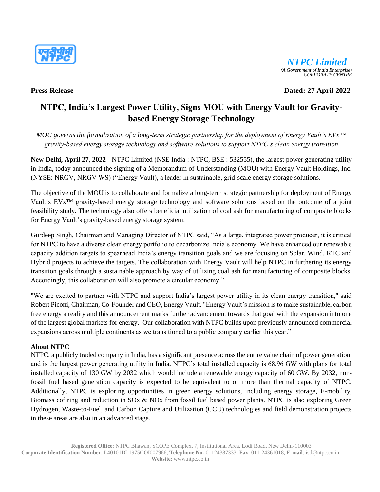



**Press Release Dated: 27 April 2022**

# **NTPC, India's Largest Power Utility, Signs MOU with Energy Vault for Gravitybased Energy Storage Technology**

*MOU governs the formalization of a long-term strategic partnership for the deployment of Energy Vault's EVx™ gravity-based energy storage technology and software solutions to support NTPC's clean energy transition*

**New Delhi, April 27, 2022 -** NTPC Limited (NSE India : NTPC, BSE : 532555), the largest power generating utility in India, today announced the signing of a Memorandum of Understanding (MOU) with Energy Vault Holdings, Inc. (NYSE: NRGV, NRGV WS) ("Energy Vault), a leader in sustainable, grid-scale energy storage solutions.

The objective of the MOU is to collaborate and formalize a long-term strategic partnership for deployment of Energy Vault's EVx™ gravity-based energy storage technology and software solutions based on the outcome of a joint feasibility study. The technology also offers beneficial utilization of coal ash for manufacturing of composite blocks for Energy Vault's gravity-based energy storage system.

Gurdeep Singh, Chairman and Managing Director of NTPC said, "As a large, integrated power producer, it is critical for NTPC to have a diverse clean energy portfolio to decarbonize India's economy. We have enhanced our renewable capacity addition targets to spearhead India's energy transition goals and we are focusing on Solar, Wind, RTC and Hybrid projects to achieve the targets. The collaboration with Energy Vault will help NTPC in furthering its energy transition goals through a sustainable approach by way of utilizing coal ash for manufacturing of composite blocks. Accordingly, this collaboration will also promote a circular economy."

"We are excited to partner with NTPC and support India's largest power utility in its clean energy transition," said Robert Piconi, Chairman, Co-Founder and CEO, Energy Vault. "Energy Vault's mission is to make sustainable, carbon free energy a reality and this announcement marks further advancement towards that goal with the expansion into one of the largest global markets for energy. Our collaboration with NTPC builds upon previously announced commercial expansions across multiple continents as we transitioned to a public company earlier this year."

## **About NTPC**

NTPC, a publicly traded company in India, has a significant presence across the entire value chain of power generation, and is the largest power generating utility in India. NTPC's total installed capacity is 68.96 GW with plans for total installed capacity of 130 GW by 2032 which would include a renewable energy capacity of 60 GW. By 2032, nonfossil fuel based generation capacity is expected to be equivalent to or more than thermal capacity of NTPC. Additionally, NTPC is exploring opportunities in green energy solutions, including energy storage, E-mobility, Biomass cofiring and reduction in SOx & NOx from fossil fuel based power plants. NTPC is also exploring Green Hydrogen, Waste-to-Fuel, and Carbon Capture and Utilization (CCU) technologies and field demonstration projects in these areas are also in an advanced stage.